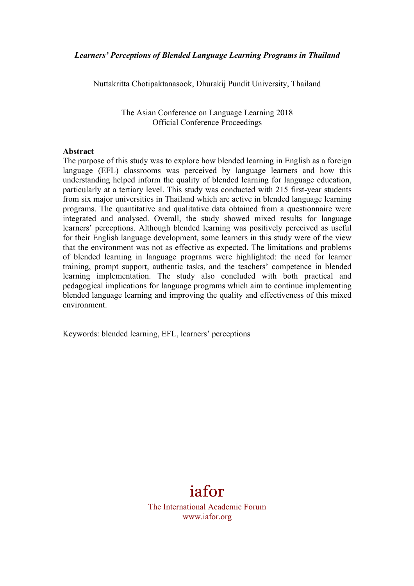Nuttakritta Chotipaktanasook, Dhurakij Pundit University, Thailand

The Asian Conference on Language Learning 2018 Official Conference Proceedings

#### **Abstract**

The purpose of this study was to explore how blended learning in English as a foreign language (EFL) classrooms was perceived by language learners and how this understanding helped inform the quality of blended learning for language education, particularly at a tertiary level. This study was conducted with 215 first-year students from six major universities in Thailand which are active in blended language learning programs. The quantitative and qualitative data obtained from a questionnaire were integrated and analysed. Overall, the study showed mixed results for language learners' perceptions. Although blended learning was positively perceived as useful for their English language development, some learners in this study were of the view that the environment was not as effective as expected. The limitations and problems of blended learning in language programs were highlighted: the need for learner training, prompt support, authentic tasks, and the teachers' competence in blended learning implementation. The study also concluded with both practical and pedagogical implications for language programs which aim to continue implementing blended language learning and improving the quality and effectiveness of this mixed environment.

Keywords: blended learning, EFL, learners' perceptions



The International Academic Forum www.iafor.org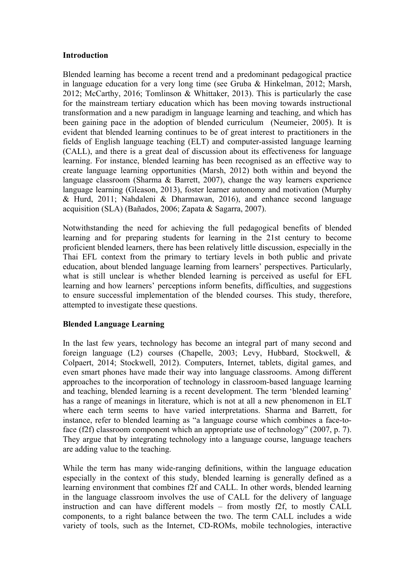### **Introduction**

Blended learning has become a recent trend and a predominant pedagogical practice in language education for a very long time (see Gruba & Hinkelman, 2012; Marsh, 2012; McCarthy, 2016; Tomlinson & Whittaker, 2013). This is particularly the case for the mainstream tertiary education which has been moving towards instructional transformation and a new paradigm in language learning and teaching, and which has been gaining pace in the adoption of blended curriculum (Neumeier, 2005). It is evident that blended learning continues to be of great interest to practitioners in the fields of English language teaching (ELT) and computer-assisted language learning (CALL), and there is a great deal of discussion about its effectiveness for language learning. For instance, blended learning has been recognised as an effective way to create language learning opportunities (Marsh, 2012) both within and beyond the language classroom (Sharma & Barrett, 2007), change the way learners experience language learning (Gleason, 2013), foster learner autonomy and motivation (Murphy & Hurd, 2011; Nahdaleni & Dharmawan, 2016), and enhance second language acquisition (SLA) (Bañados, 2006; Zapata & Sagarra, 2007).

Notwithstanding the need for achieving the full pedagogical benefits of blended learning and for preparing students for learning in the 21st century to become proficient blended learners, there has been relatively little discussion, especially in the Thai EFL context from the primary to tertiary levels in both public and private education, about blended language learning from learners' perspectives. Particularly, what is still unclear is whether blended learning is perceived as useful for EFL learning and how learners' perceptions inform benefits, difficulties, and suggestions to ensure successful implementation of the blended courses. This study, therefore, attempted to investigate these questions.

### **Blended Language Learning**

In the last few years, technology has become an integral part of many second and foreign language (L2) courses (Chapelle, 2003; Levy, Hubbard, Stockwell, & Colpaert, 2014; Stockwell, 2012). Computers, Internet, tablets, digital games, and even smart phones have made their way into language classrooms. Among different approaches to the incorporation of technology in classroom-based language learning and teaching, blended learning is a recent development. The term 'blended learning' has a range of meanings in literature, which is not at all a new phenomenon in ELT where each term seems to have varied interpretations. Sharma and Barrett, for instance, refer to blended learning as "a language course which combines a face-toface (f2f) classroom component which an appropriate use of technology" (2007, p. 7). They argue that by integrating technology into a language course, language teachers are adding value to the teaching.

While the term has many wide-ranging definitions, within the language education especially in the context of this study, blended learning is generally defined as a learning environment that combines f2f and CALL. In other words, blended learning in the language classroom involves the use of CALL for the delivery of language instruction and can have different models – from mostly f2f, to mostly CALL components, to a right balance between the two. The term CALL includes a wide variety of tools, such as the Internet, CD-ROMs, mobile technologies, interactive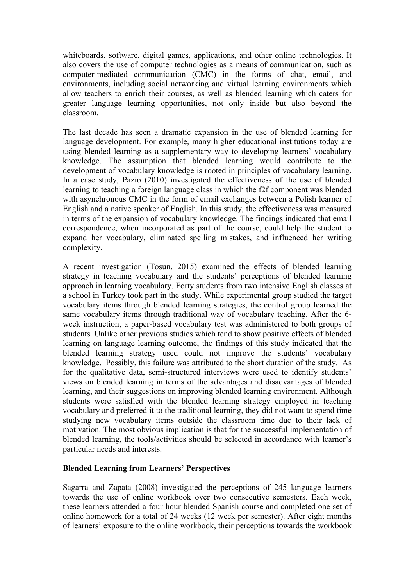whiteboards, software, digital games, applications, and other online technologies. It also covers the use of computer technologies as a means of communication, such as computer-mediated communication (CMC) in the forms of chat, email, and environments, including social networking and virtual learning environments which allow teachers to enrich their courses, as well as blended learning which caters for greater language learning opportunities, not only inside but also beyond the classroom.

The last decade has seen a dramatic expansion in the use of blended learning for language development. For example, many higher educational institutions today are using blended learning as a supplementary way to developing learners' vocabulary knowledge. The assumption that blended learning would contribute to the development of vocabulary knowledge is rooted in principles of vocabulary learning. In a case study, Pazio (2010) investigated the effectiveness of the use of blended learning to teaching a foreign language class in which the f2f component was blended with asynchronous CMC in the form of email exchanges between a Polish learner of English and a native speaker of English. In this study, the effectiveness was measured in terms of the expansion of vocabulary knowledge. The findings indicated that email correspondence, when incorporated as part of the course, could help the student to expand her vocabulary, eliminated spelling mistakes, and influenced her writing complexity.

A recent investigation (Tosun, 2015) examined the effects of blended learning strategy in teaching vocabulary and the students' perceptions of blended learning approach in learning vocabulary. Forty students from two intensive English classes at a school in Turkey took part in the study. While experimental group studied the target vocabulary items through blended learning strategies, the control group learned the same vocabulary items through traditional way of vocabulary teaching. After the 6 week instruction, a paper-based vocabulary test was administered to both groups of students. Unlike other previous studies which tend to show positive effects of blended learning on language learning outcome, the findings of this study indicated that the blended learning strategy used could not improve the students' vocabulary knowledge. Possibly, this failure was attributed to the short duration of the study. As for the qualitative data, semi-structured interviews were used to identify students' views on blended learning in terms of the advantages and disadvantages of blended learning, and their suggestions on improving blended learning environment. Although students were satisfied with the blended learning strategy employed in teaching vocabulary and preferred it to the traditional learning, they did not want to spend time studying new vocabulary items outside the classroom time due to their lack of motivation. The most obvious implication is that for the successful implementation of blended learning, the tools/activities should be selected in accordance with learner's particular needs and interests.

# **Blended Learning from Learners' Perspectives**

Sagarra and Zapata (2008) investigated the perceptions of 245 language learners towards the use of online workbook over two consecutive semesters. Each week, these learners attended a four-hour blended Spanish course and completed one set of online homework for a total of 24 weeks (12 week per semester). After eight months of learners' exposure to the online workbook, their perceptions towards the workbook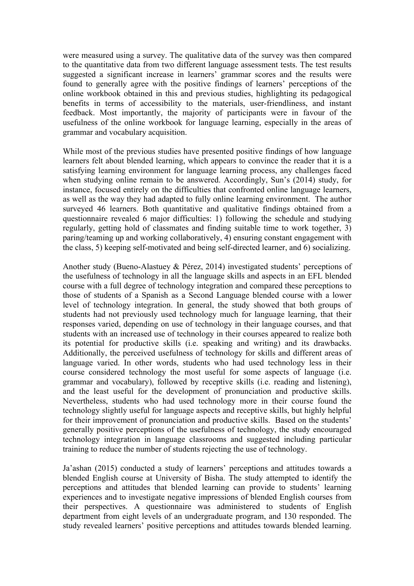were measured using a survey. The qualitative data of the survey was then compared to the quantitative data from two different language assessment tests. The test results suggested a significant increase in learners' grammar scores and the results were found to generally agree with the positive findings of learners' perceptions of the online workbook obtained in this and previous studies, highlighting its pedagogical benefits in terms of accessibility to the materials, user-friendliness, and instant feedback. Most importantly, the majority of participants were in favour of the usefulness of the online workbook for language learning, especially in the areas of grammar and vocabulary acquisition.

While most of the previous studies have presented positive findings of how language learners felt about blended learning, which appears to convince the reader that it is a satisfying learning environment for language learning process, any challenges faced when studying online remain to be answered. Accordingly, Sun's (2014) study, for instance, focused entirely on the difficulties that confronted online language learners, as well as the way they had adapted to fully online learning environment. The author surveyed 46 learners. Both quantitative and qualitative findings obtained from a questionnaire revealed 6 major difficulties: 1) following the schedule and studying regularly, getting hold of classmates and finding suitable time to work together, 3) paring/teaming up and working collaboratively, 4) ensuring constant engagement with the class, 5) keeping self-motivated and being self-directed learner, and 6) socializing.

Another study (Bueno-Alastuey & Pérez, 2014) investigated students' perceptions of the usefulness of technology in all the language skills and aspects in an EFL blended course with a full degree of technology integration and compared these perceptions to those of students of a Spanish as a Second Language blended course with a lower level of technology integration. In general, the study showed that both groups of students had not previously used technology much for language learning, that their responses varied, depending on use of technology in their language courses, and that students with an increased use of technology in their courses appeared to realize both its potential for productive skills (i.e. speaking and writing) and its drawbacks. Additionally, the perceived usefulness of technology for skills and different areas of language varied. In other words, students who had used technology less in their course considered technology the most useful for some aspects of language (i.e. grammar and vocabulary), followed by receptive skills (i.e. reading and listening), and the least useful for the development of pronunciation and productive skills. Nevertheless, students who had used technology more in their course found the technology slightly useful for language aspects and receptive skills, but highly helpful for their improvement of pronunciation and productive skills. Based on the students' generally positive perceptions of the usefulness of technology, the study encouraged technology integration in language classrooms and suggested including particular training to reduce the number of students rejecting the use of technology.

Ja'ashan (2015) conducted a study of learners' perceptions and attitudes towards a blended English course at University of Bisha. The study attempted to identify the perceptions and attitudes that blended learning can provide to students' learning experiences and to investigate negative impressions of blended English courses from their perspectives. A questionnaire was administered to students of English department from eight levels of an undergraduate program, and 130 responded. The study revealed learners' positive perceptions and attitudes towards blended learning.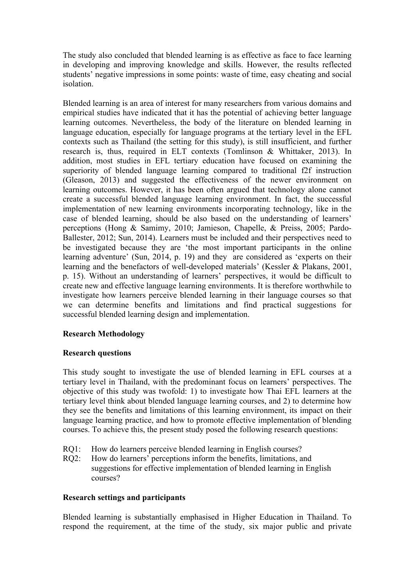The study also concluded that blended learning is as effective as face to face learning in developing and improving knowledge and skills. However, the results reflected students' negative impressions in some points: waste of time, easy cheating and social isolation.

Blended learning is an area of interest for many researchers from various domains and empirical studies have indicated that it has the potential of achieving better language learning outcomes. Nevertheless, the body of the literature on blended learning in language education, especially for language programs at the tertiary level in the EFL contexts such as Thailand (the setting for this study), is still insufficient, and further research is, thus, required in ELT contexts (Tomlinson & Whittaker, 2013). In addition, most studies in EFL tertiary education have focused on examining the superiority of blended language learning compared to traditional f2f instruction (Gleason, 2013) and suggested the effectiveness of the newer environment on learning outcomes. However, it has been often argued that technology alone cannot create a successful blended language learning environment. In fact, the successful implementation of new learning environments incorporating technology, like in the case of blended learning, should be also based on the understanding of learners' perceptions (Hong & Samimy, 2010; Jamieson, Chapelle, & Preiss, 2005; Pardo-Ballester, 2012; Sun, 2014). Learners must be included and their perspectives need to be investigated because they are 'the most important participants in the online learning adventure' (Sun, 2014, p. 19) and they are considered as 'experts on their learning and the benefactors of well-developed materials' (Kessler & Plakans, 2001, p. 15). Without an understanding of learners' perspectives, it would be difficult to create new and effective language learning environments. It is therefore worthwhile to investigate how learners perceive blended learning in their language courses so that we can determine benefits and limitations and find practical suggestions for successful blended learning design and implementation.

# **Research Methodology**

### **Research questions**

This study sought to investigate the use of blended learning in EFL courses at a tertiary level in Thailand, with the predominant focus on learners' perspectives. The objective of this study was twofold: 1) to investigate how Thai EFL learners at the tertiary level think about blended language learning courses, and 2) to determine how they see the benefits and limitations of this learning environment, its impact on their language learning practice, and how to promote effective implementation of blending courses. To achieve this, the present study posed the following research questions:

- RO1: How do learners perceive blended learning in English courses?
- RO2: How do learners' perceptions inform the benefits, limitations, and suggestions for effective implementation of blended learning in English courses?

### **Research settings and participants**

Blended learning is substantially emphasised in Higher Education in Thailand. To respond the requirement, at the time of the study, six major public and private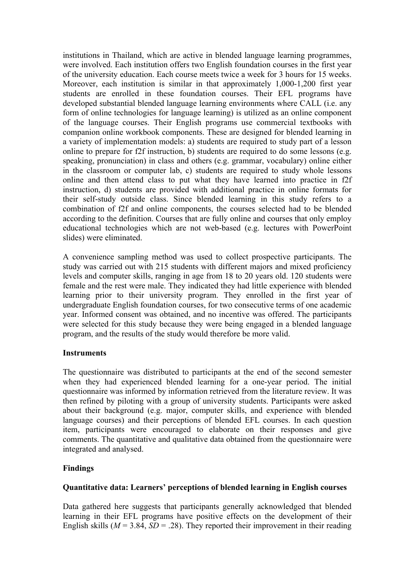institutions in Thailand, which are active in blended language learning programmes, were involved. Each institution offers two English foundation courses in the first year of the university education. Each course meets twice a week for 3 hours for 15 weeks. Moreover, each institution is similar in that approximately 1,000-1,200 first year students are enrolled in these foundation courses. Their EFL programs have developed substantial blended language learning environments where CALL (i.e. any form of online technologies for language learning) is utilized as an online component of the language courses. Their English programs use commercial textbooks with companion online workbook components. These are designed for blended learning in a variety of implementation models: a) students are required to study part of a lesson online to prepare for f2f instruction, b) students are required to do some lessons (e.g. speaking, pronunciation) in class and others (e.g. grammar, vocabulary) online either in the classroom or computer lab, c) students are required to study whole lessons online and then attend class to put what they have learned into practice in f2f instruction, d) students are provided with additional practice in online formats for their self-study outside class. Since blended learning in this study refers to a combination of f2f and online components, the courses selected had to be blended according to the definition. Courses that are fully online and courses that only employ educational technologies which are not web-based (e.g. lectures with PowerPoint slides) were eliminated.

A convenience sampling method was used to collect prospective participants. The study was carried out with 215 students with different majors and mixed proficiency levels and computer skills, ranging in age from 18 to 20 years old. 120 students were female and the rest were male. They indicated they had little experience with blended learning prior to their university program. They enrolled in the first year of undergraduate English foundation courses, for two consecutive terms of one academic year. Informed consent was obtained, and no incentive was offered. The participants were selected for this study because they were being engaged in a blended language program, and the results of the study would therefore be more valid.

# **Instruments**

The questionnaire was distributed to participants at the end of the second semester when they had experienced blended learning for a one-year period. The initial questionnaire was informed by information retrieved from the literature review. It was then refined by piloting with a group of university students. Participants were asked about their background (e.g. major, computer skills, and experience with blended language courses) and their perceptions of blended EFL courses. In each question item, participants were encouraged to elaborate on their responses and give comments. The quantitative and qualitative data obtained from the questionnaire were integrated and analysed.

### **Findings**

## **Quantitative data: Learners' perceptions of blended learning in English courses**

Data gathered here suggests that participants generally acknowledged that blended learning in their EFL programs have positive effects on the development of their English skills ( $M = 3.84$ ,  $SD = .28$ ). They reported their improvement in their reading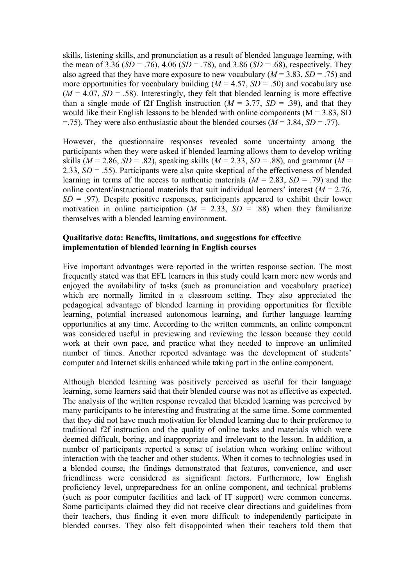skills, listening skills, and pronunciation as a result of blended language learning, with the mean of 3.36 (*SD* = .76), 4.06 (*SD* = .78), and 3.86 (*SD* = .68), respectively. They also agreed that they have more exposure to new vocabulary  $(M = 3.83, SD = .75)$  and more opportunities for vocabulary building  $(M = 4.57, SD = .50)$  and vocabulary use  $(M = 4.07, SD = .58)$ . Interestingly, they felt that blended learning is more effective than a single mode of f2f English instruction  $(M = 3.77, SD = .39)$ , and that they would like their English lessons to be blended with online components  $(M = 3.83, SD)$  $=$ .75). They were also enthusiastic about the blended courses ( $M = 3.84$ ,  $SD = .77$ ).

However, the questionnaire responses revealed some uncertainty among the participants when they were asked if blended learning allows them to develop writing skills ( $M = 2.86$ ,  $SD = .82$ ), speaking skills ( $M = 2.33$ ,  $SD = .88$ ), and grammar ( $M =$ 2.33, *SD* = .55). Participants were also quite skeptical of the effectiveness of blended learning in terms of the access to authentic materials  $(M = 2.83, SD = .79)$  and the online content/instructional materials that suit individual learners' interest  $(M = 2.76)$ .  $SD = .97$ ). Despite positive responses, participants appeared to exhibit their lower motivation in online participation  $(M = 2.33, SD = .88)$  when they familiarize themselves with a blended learning environment.

### **Qualitative data: Benefits, limitations, and suggestions for effective implementation of blended learning in English courses**

Five important advantages were reported in the written response section. The most frequently stated was that EFL learners in this study could learn more new words and enjoyed the availability of tasks (such as pronunciation and vocabulary practice) which are normally limited in a classroom setting. They also appreciated the pedagogical advantage of blended learning in providing opportunities for flexible learning, potential increased autonomous learning, and further language learning opportunities at any time. According to the written comments, an online component was considered useful in previewing and reviewing the lesson because they could work at their own pace, and practice what they needed to improve an unlimited number of times. Another reported advantage was the development of students' computer and Internet skills enhanced while taking part in the online component.

Although blended learning was positively perceived as useful for their language learning, some learners said that their blended course was not as effective as expected. The analysis of the written response revealed that blended learning was perceived by many participants to be interesting and frustrating at the same time. Some commented that they did not have much motivation for blended learning due to their preference to traditional f2f instruction and the quality of online tasks and materials which were deemed difficult, boring, and inappropriate and irrelevant to the lesson. In addition, a number of participants reported a sense of isolation when working online without interaction with the teacher and other students. When it comes to technologies used in a blended course, the findings demonstrated that features, convenience, and user friendliness were considered as significant factors. Furthermore, low English proficiency level, unpreparedness for an online component, and technical problems (such as poor computer facilities and lack of IT support) were common concerns. Some participants claimed they did not receive clear directions and guidelines from their teachers, thus finding it even more difficult to independently participate in blended courses. They also felt disappointed when their teachers told them that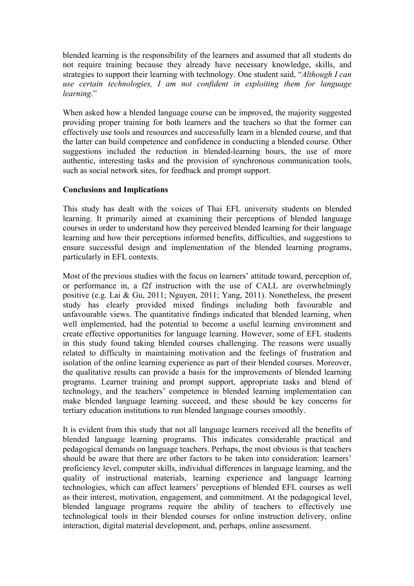blended learning is the responsibility of the learners and assumed that all students do not require training because they already have necessary knowledge, skills, and strategies to support their learning with technology. One student said, "*Although I can use certain technologies, I am not confident in exploiting them for language learning*."

When asked how a blended language course can be improved, the majority suggested providing proper training for both learners and the teachers so that the former can effectively use tools and resources and successfully learn in a blended course, and that the latter can build competence and confidence in conducting a blended course. Other suggestions included the reduction in blended-learning hours, the use of more authentic, interesting tasks and the provision of synchronous communication tools, such as social network sites, for feedback and prompt support.

## **Conclusions and Implications**

This study has dealt with the voices of Thai EFL university students on blended learning. It primarily aimed at examining their perceptions of blended language courses in order to understand how they perceived blended learning for their language learning and how their perceptions informed benefits, difficulties, and suggestions to ensure successful design and implementation of the blended learning programs, particularly in EFL contexts.

Most of the previous studies with the focus on learners' attitude toward, perception of, or performance in, a f2f instruction with the use of CALL are overwhelmingly positive (e.g. Lai & Gu, 2011; Nguyen, 2011; Yang, 2011). Nonetheless, the present study has clearly provided mixed findings including both favourable and unfavourable views. The quantitative findings indicated that blended learning, when well implemented, had the potential to become a useful learning environment and create effective opportunities for language learning. However, some of EFL students in this study found taking blended courses challenging. The reasons were usually related to difficulty in maintaining motivation and the feelings of frustration and isolation of the online learning experience as part of their blended courses. Moreover, the qualitative results can provide a basis for the improvements of blended learning programs. Learner training and prompt support, appropriate tasks and blend of technology, and the teachers' competence in blended learning implementation can make blended language learning succeed, and these should be key concerns for tertiary education institutions to run blended language courses smoothly.

It is evident from this study that not all language learners received all the benefits of blended language learning programs. This indicates considerable practical and pedagogical demands on language teachers. Perhaps, the most obvious is that teachers should be aware that there are other factors to be taken into consideration: learners' proficiency level, computer skills, individual differences in language learning, and the quality of instructional materials, learning experience and language learning technologies, which can affect learners' perceptions of blended EFL courses as well as their interest, motivation, engagement, and commitment. At the pedagogical level, blended language programs require the ability of teachers to effectively use technological tools in their blended courses for online instruction delivery, online interaction, digital material development, and, perhaps, online assessment.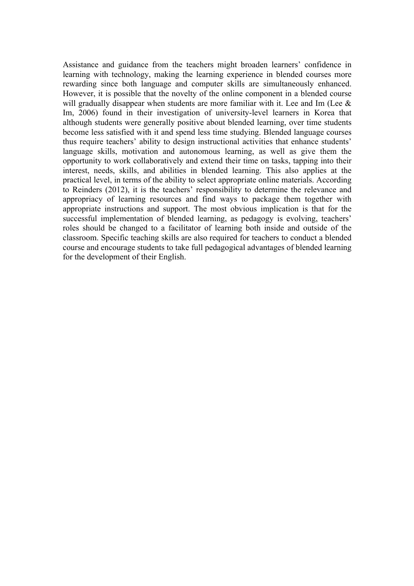Assistance and guidance from the teachers might broaden learners' confidence in learning with technology, making the learning experience in blended courses more rewarding since both language and computer skills are simultaneously enhanced. However, it is possible that the novelty of the online component in a blended course will gradually disappear when students are more familiar with it. Lee and Im (Lee  $\&$ Im, 2006) found in their investigation of university-level learners in Korea that although students were generally positive about blended learning, over time students become less satisfied with it and spend less time studying. Blended language courses thus require teachers' ability to design instructional activities that enhance students' language skills, motivation and autonomous learning, as well as give them the opportunity to work collaboratively and extend their time on tasks, tapping into their interest, needs, skills, and abilities in blended learning. This also applies at the practical level, in terms of the ability to select appropriate online materials. According to Reinders (2012), it is the teachers' responsibility to determine the relevance and appropriacy of learning resources and find ways to package them together with appropriate instructions and support. The most obvious implication is that for the successful implementation of blended learning, as pedagogy is evolving, teachers' roles should be changed to a facilitator of learning both inside and outside of the classroom. Specific teaching skills are also required for teachers to conduct a blended course and encourage students to take full pedagogical advantages of blended learning for the development of their English.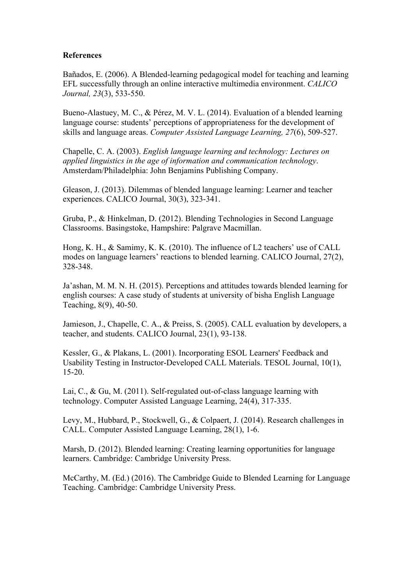#### **References**

Bañados, E. (2006). A Blended-learning pedagogical model for teaching and learning EFL successfully through an online interactive multimedia environment. *CALICO Journal, 23*(3), 533-550.

Bueno-Alastuey, M. C., & Pérez, M. V. L. (2014). Evaluation of a blended learning language course: students' perceptions of appropriateness for the development of skills and language areas. *Computer Assisted Language Learning, 27*(6), 509-527.

Chapelle, C. A. (2003). *English language learning and technology: Lectures on applied linguistics in the age of information and communication technology*. Amsterdam/Philadelphia: John Benjamins Publishing Company.

Gleason, J. (2013). Dilemmas of blended language learning: Learner and teacher experiences. CALICO Journal, 30(3), 323-341.

Gruba, P., & Hinkelman, D. (2012). Blending Technologies in Second Language Classrooms. Basingstoke, Hampshire: Palgrave Macmillan.

Hong, K. H., & Samimy, K. K. (2010). The influence of L2 teachers' use of CALL modes on language learners' reactions to blended learning. CALICO Journal, 27(2), 328-348.

Ja'ashan, M. M. N. H. (2015). Perceptions and attitudes towards blended learning for english courses: A case study of students at university of bisha English Language Teaching, 8(9), 40-50.

Jamieson, J., Chapelle, C. A., & Preiss, S. (2005). CALL evaluation by developers, a teacher, and students. CALICO Journal, 23(1), 93-138.

Kessler, G., & Plakans, L. (2001). Incorporating ESOL Learners' Feedback and Usability Testing in Instructor-Developed CALL Materials. TESOL Journal, 10(1), 15-20.

Lai, C., & Gu, M. (2011). Self-regulated out-of-class language learning with technology. Computer Assisted Language Learning, 24(4), 317-335.

Levy, M., Hubbard, P., Stockwell, G., & Colpaert, J. (2014). Research challenges in CALL. Computer Assisted Language Learning, 28(1), 1-6.

Marsh, D. (2012). Blended learning: Creating learning opportunities for language learners. Cambridge: Cambridge University Press.

McCarthy, M. (Ed.) (2016). The Cambridge Guide to Blended Learning for Language Teaching. Cambridge: Cambridge University Press.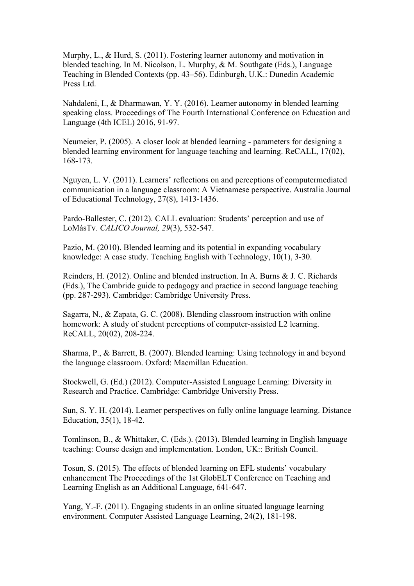Murphy, L., & Hurd, S. (2011). Fostering learner autonomy and motivation in blended teaching. In M. Nicolson, L. Murphy, & M. Southgate (Eds.), Language Teaching in Blended Contexts (pp. 43–56). Edinburgh, U.K.: Dunedin Academic Press Ltd.

Nahdaleni, I., & Dharmawan, Y. Y. (2016). Learner autonomy in blended learning speaking class. Proceedings of The Fourth International Conference on Education and Language (4th ICEL) 2016, 91-97.

Neumeier, P. (2005). A closer look at blended learning - parameters for designing a blended learning environment for language teaching and learning. ReCALL, 17(02), 168-173.

Nguyen, L. V. (2011). Learners' reflections on and perceptions of computermediated communication in a language classroom: A Vietnamese perspective. Australia Journal of Educational Technology, 27(8), 1413-1436.

Pardo-Ballester, C. (2012). CALL evaluation: Students' perception and use of LoMásTv. *CALICO Journal, 29*(3), 532-547.

Pazio, M. (2010). Blended learning and its potential in expanding vocabulary knowledge: A case study. Teaching English with Technology, 10(1), 3-30.

Reinders, H. (2012). Online and blended instruction. In A. Burns & J. C. Richards (Eds.), The Cambride guide to pedagogy and practice in second language teaching (pp. 287-293). Cambridge: Cambridge University Press.

Sagarra, N., & Zapata, G. C. (2008). Blending classroom instruction with online homework: A study of student perceptions of computer-assisted L2 learning. ReCALL, 20(02), 208-224.

Sharma, P., & Barrett, B. (2007). Blended learning: Using technology in and beyond the language classroom. Oxford: Macmillan Education.

Stockwell, G. (Ed.) (2012). Computer-Assisted Language Learning: Diversity in Research and Practice. Cambridge: Cambridge University Press.

Sun, S. Y. H. (2014). Learner perspectives on fully online language learning. Distance Education, 35(1), 18-42.

Tomlinson, B., & Whittaker, C. (Eds.). (2013). Blended learning in English language teaching: Course design and implementation. London, UK:: British Council.

Tosun, S. (2015). The effects of blended learning on EFL students' vocabulary enhancement The Proceedings of the 1st GlobELT Conference on Teaching and Learning English as an Additional Language, 641-647.

Yang, Y.-F. (2011). Engaging students in an online situated language learning environment. Computer Assisted Language Learning, 24(2), 181-198.